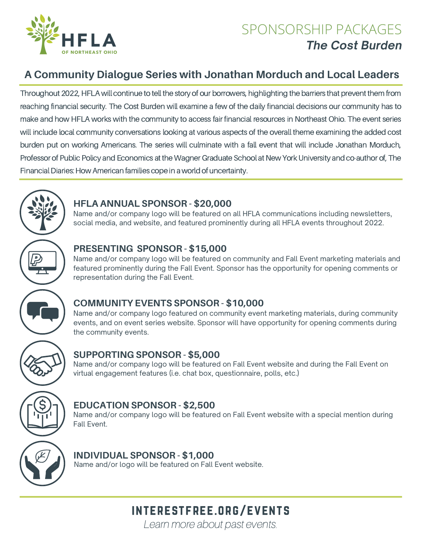

## *The Cost Burden* SPONSORSHIP PACKAGES

### **A Community Dialogue Series with Jonathan Morduch and Local Leaders**

Throughout 2022, HFLA will continue to tell the story of our borrowers, highlighting the barriers that prevent them from reaching financial security. The Cost Burden will examine a few of the daily financial decisions our community has to make and how HFLA works with the community to access fair financial resources in Northeast Ohio. The event series will include local community conversations looking at various aspects of the overall theme examining the added cost burden put on working Americans. The series will culminate with a fall event that will include Jonathan Morduch, Professor of Public Policy and Economics at the Wagner Graduate School at New York University and co-author of, The Financial Diaries: How American families cope in a world of uncertainty.



#### **HFLA ANNUAL SPONSOR - \$20,000**

Name and/or company logo will be featured on all HFLA communications including newsletters, social media, and website, and featured prominently during all HFLA events throughout 2022.

#### **PRESENTING SPONSOR - \$15,000**

Name and/or company logo will be featured on community and Fall Event marketing materials and featured prominently during the Fall Event. Sponsor has the opportunity for opening comments or representation during the Fall Event.



#### **COMMUNITY EVENTS SPONSOR - \$10,000**

Name and/or company logo featured on community event marketing materials, during community events, and on event series website. Sponsor will have opportunity for opening comments during the community events.



#### **SUPPORTING SPONSOR - \$5,000**

Name and/or company logo will be featured on Fall Event website and during the Fall Event on virtual engagement features (i.e. chat box, questionnaire, polls, etc.)



#### **EDUCATION SPONSOR - \$2,500**

Name and/or company logo will be featured on Fall Event website with a special mention during Fall Event.



#### **INDIVIDUAL SPONSOR - \$1,000**

Name and/or logo will be featured on Fall Event website.

## interestfree.org/events

Learn more about past events.